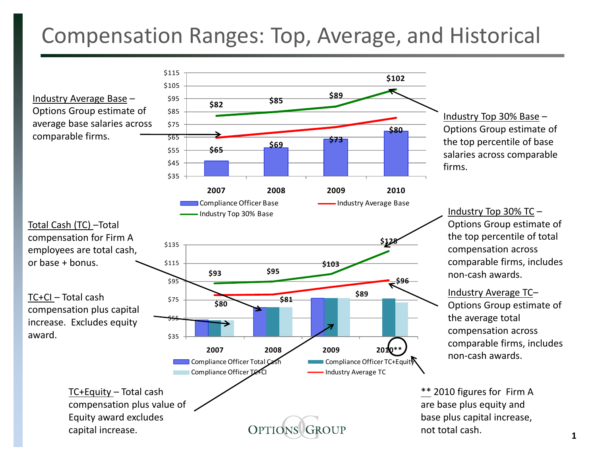## Compensation Ranges: Top, Average, and Historical